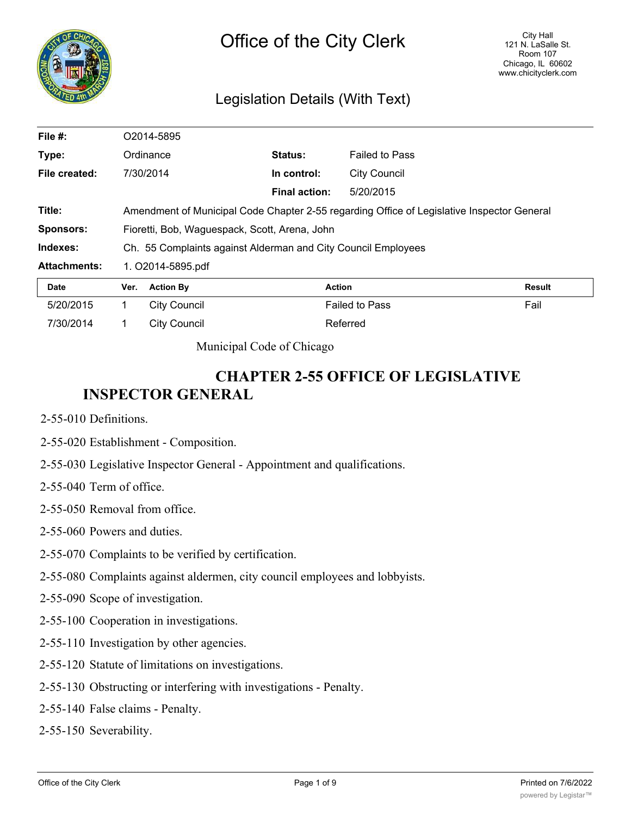

## Legislation Details (With Text)

| File #:             | O <sub>2014-5895</sub>                        |                                                                                            |                      |                       |               |  |
|---------------------|-----------------------------------------------|--------------------------------------------------------------------------------------------|----------------------|-----------------------|---------------|--|
| Type:               |                                               | Ordinance                                                                                  | Status:              | <b>Failed to Pass</b> |               |  |
| File created:       |                                               | 7/30/2014                                                                                  | In control:          | <b>City Council</b>   |               |  |
|                     |                                               |                                                                                            | <b>Final action:</b> | 5/20/2015             |               |  |
| Title:              |                                               | Amendment of Municipal Code Chapter 2-55 regarding Office of Legislative Inspector General |                      |                       |               |  |
| <b>Sponsors:</b>    | Fioretti, Bob, Waguespack, Scott, Arena, John |                                                                                            |                      |                       |               |  |
| Indexes:            |                                               | Ch. 55 Complaints against Alderman and City Council Employees                              |                      |                       |               |  |
| <b>Attachments:</b> | 1. O2014-5895.pdf                             |                                                                                            |                      |                       |               |  |
| Date                | Ver.                                          | <b>Action By</b>                                                                           | <b>Action</b>        |                       | <b>Result</b> |  |
| 5/20/2015           |                                               | <b>City Council</b>                                                                        |                      | <b>Failed to Pass</b> | Fail          |  |
| 7/30/2014           |                                               | <b>City Council</b>                                                                        |                      | Referred              |               |  |

Municipal Code of Chicago

# **CHAPTER 2-55 OFFICE OF LEGISLATIVE INSPECTOR GENERAL**

- 2-55-010 Definitions.
- 2-55-020 Establishment Composition.
- 2-55-030 Legislative Inspector General Appointment and qualifications.
- 2-55-040 Term of office.
- 2-55-050 Removal from office.
- 2-55-060 Powers and duties.
- 2-55-070 Complaints to be verified by certification.
- 2-55-080 Complaints against aldermen, city council employees and lobbyists.
- 2-55-090 Scope of investigation.
- 2-55-100 Cooperation in investigations.
- 2-55-110 Investigation by other agencies.
- 2-55-120 Statute of limitations on investigations.
- 2-55-130 Obstructing or interfering with investigations Penalty.
- 2-55-140 False claims Penalty.
- 2-55-150 Severability.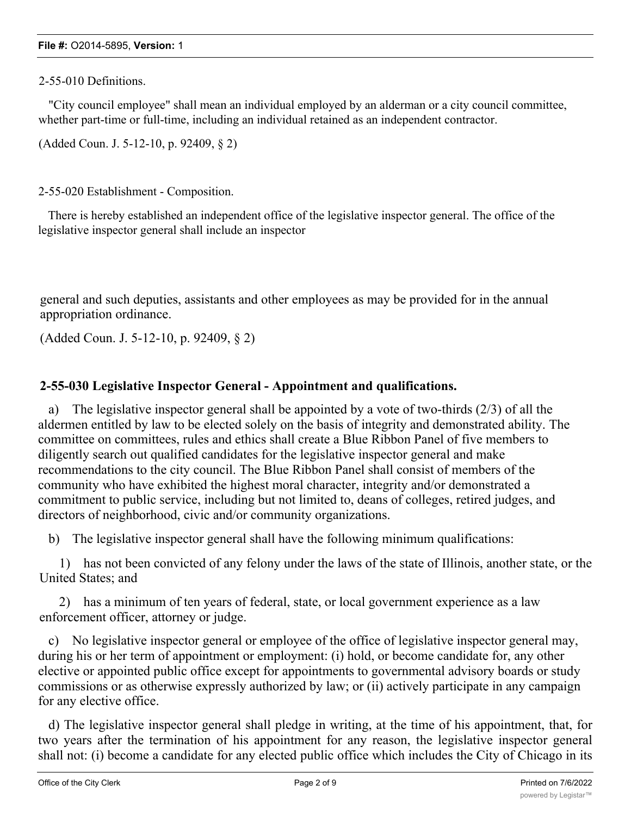#### **File #:** O2014-5895, **Version:** 1

#### 2-55-010 Definitions.

"City council employee" shall mean an individual employed by an alderman or a city council committee, whether part-time or full-time, including an individual retained as an independent contractor.

(Added Coun. J. 5-12-10, p. 92409, § 2)

2-55-020 Establishment - Composition.

There is hereby established an independent office of the legislative inspector general. The office of the legislative inspector general shall include an inspector

general and such deputies, assistants and other employees as may be provided for in the annual appropriation ordinance.

(Added Coun. J. 5-12-10, p. 92409, § 2)

## **2-55-030 Legislative Inspector General - Appointment and qualifications.**

a) The legislative inspector general shall be appointed by a vote of two-thirds (2/3) of all the aldermen entitled by law to be elected solely on the basis of integrity and demonstrated ability. The committee on committees, rules and ethics shall create a Blue Ribbon Panel of five members to diligently search out qualified candidates for the legislative inspector general and make recommendations to the city council. The Blue Ribbon Panel shall consist of members of the community who have exhibited the highest moral character, integrity and/or demonstrated a commitment to public service, including but not limited to, deans of colleges, retired judges, and directors of neighborhood, civic and/or community organizations.

b) The legislative inspector general shall have the following minimum qualifications:

1) has not been convicted of any felony under the laws of the state of Illinois, another state, or the United States; and

2) has a minimum of ten years of federal, state, or local government experience as a law enforcement officer, attorney or judge.

c) No legislative inspector general or employee of the office of legislative inspector general may, during his or her term of appointment or employment: (i) hold, or become candidate for, any other elective or appointed public office except for appointments to governmental advisory boards or study commissions or as otherwise expressly authorized by law; or (ii) actively participate in any campaign for any elective office.

d) The legislative inspector general shall pledge in writing, at the time of his appointment, that, for two years after the termination of his appointment for any reason, the legislative inspector general shall not: (i) become a candidate for any elected public office which includes the City of Chicago in its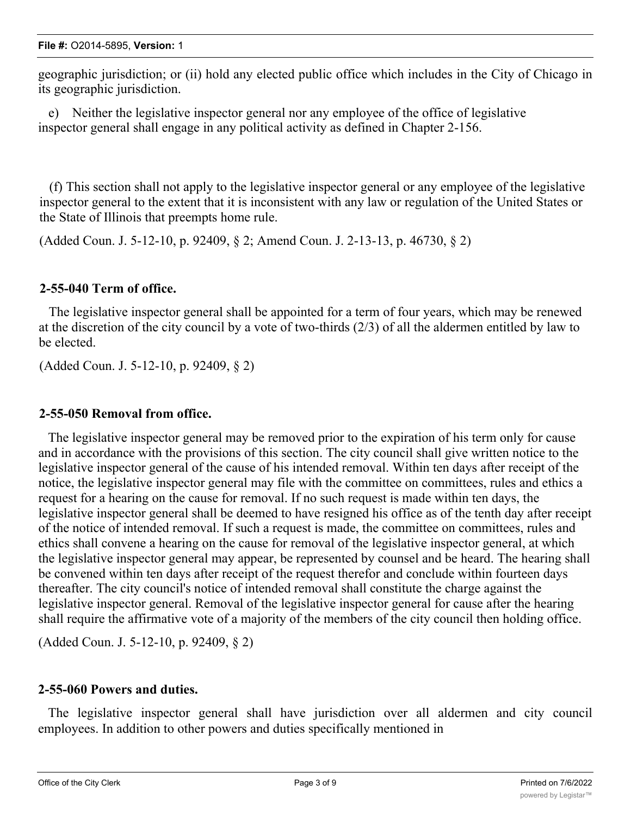geographic jurisdiction; or (ii) hold any elected public office which includes in the City of Chicago in its geographic jurisdiction.

e) Neither the legislative inspector general nor any employee of the office of legislative inspector general shall engage in any political activity as defined in Chapter 2-156.

(f) This section shall not apply to the legislative inspector general or any employee of the legislative inspector general to the extent that it is inconsistent with any law or regulation of the United States or the State of Illinois that preempts home rule.

(Added Coun. J. 5-12-10, p. 92409, § 2; Amend Coun. J. 2-13-13, p. 46730, § 2)

## **2-55-040 Term of office.**

The legislative inspector general shall be appointed for a term of four years, which may be renewed at the discretion of the city council by a vote of two-thirds (2/3) of all the aldermen entitled by law to be elected.

(Added Coun. J. 5-12-10, p. 92409, § 2)

## **2-55-050 Removal from office.**

The legislative inspector general may be removed prior to the expiration of his term only for cause and in accordance with the provisions of this section. The city council shall give written notice to the legislative inspector general of the cause of his intended removal. Within ten days after receipt of the notice, the legislative inspector general may file with the committee on committees, rules and ethics a request for a hearing on the cause for removal. If no such request is made within ten days, the legislative inspector general shall be deemed to have resigned his office as of the tenth day after receipt of the notice of intended removal. If such a request is made, the committee on committees, rules and ethics shall convene a hearing on the cause for removal of the legislative inspector general, at which the legislative inspector general may appear, be represented by counsel and be heard. The hearing shall be convened within ten days after receipt of the request therefor and conclude within fourteen days thereafter. The city council's notice of intended removal shall constitute the charge against the legislative inspector general. Removal of the legislative inspector general for cause after the hearing shall require the affirmative vote of a majority of the members of the city council then holding office.

(Added Coun. J. 5-12-10, p. 92409, § 2)

### **2-55-060 Powers and duties.**

The legislative inspector general shall have jurisdiction over all aldermen and city council employees. In addition to other powers and duties specifically mentioned in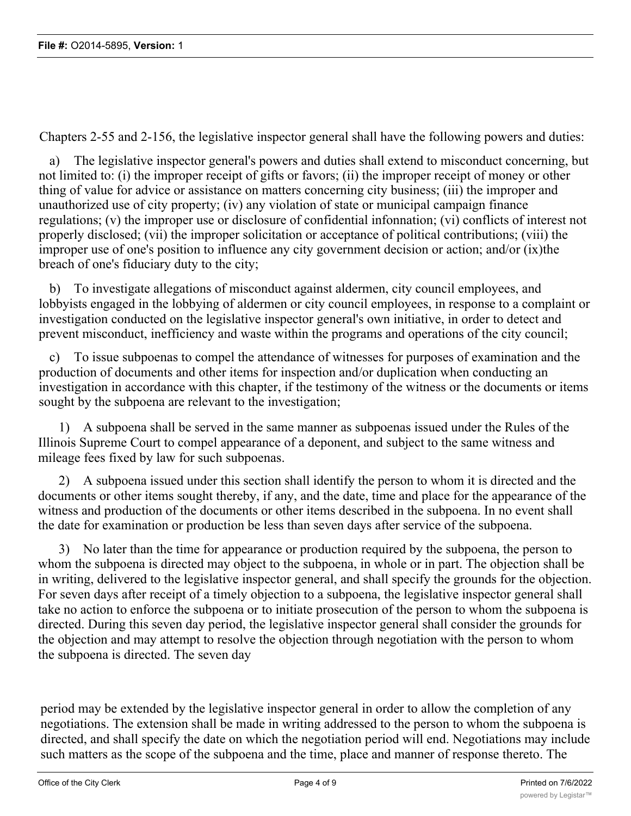Chapters 2-55 and 2-156, the legislative inspector general shall have the following powers and duties:

a) The legislative inspector general's powers and duties shall extend to misconduct concerning, but not limited to: (i) the improper receipt of gifts or favors; (ii) the improper receipt of money or other thing of value for advice or assistance on matters concerning city business; (iii) the improper and unauthorized use of city property; (iv) any violation of state or municipal campaign finance regulations; (v) the improper use or disclosure of confidential infonnation; (vi) conflicts of interest not properly disclosed; (vii) the improper solicitation or acceptance of political contributions; (viii) the improper use of one's position to influence any city government decision or action; and/or (ix)the breach of one's fiduciary duty to the city;

b) To investigate allegations of misconduct against aldermen, city council employees, and lobbyists engaged in the lobbying of aldermen or city council employees, in response to a complaint or investigation conducted on the legislative inspector general's own initiative, in order to detect and prevent misconduct, inefficiency and waste within the programs and operations of the city council;

c) To issue subpoenas to compel the attendance of witnesses for purposes of examination and the production of documents and other items for inspection and/or duplication when conducting an investigation in accordance with this chapter, if the testimony of the witness or the documents or items sought by the subpoena are relevant to the investigation;

1) A subpoena shall be served in the same manner as subpoenas issued under the Rules of the Illinois Supreme Court to compel appearance of a deponent, and subject to the same witness and mileage fees fixed by law for such subpoenas.

2) A subpoena issued under this section shall identify the person to whom it is directed and the documents or other items sought thereby, if any, and the date, time and place for the appearance of the witness and production of the documents or other items described in the subpoena. In no event shall the date for examination or production be less than seven days after service of the subpoena.

3) No later than the time for appearance or production required by the subpoena, the person to whom the subpoena is directed may object to the subpoena, in whole or in part. The objection shall be in writing, delivered to the legislative inspector general, and shall specify the grounds for the objection. For seven days after receipt of a timely objection to a subpoena, the legislative inspector general shall take no action to enforce the subpoena or to initiate prosecution of the person to whom the subpoena is directed. During this seven day period, the legislative inspector general shall consider the grounds for the objection and may attempt to resolve the objection through negotiation with the person to whom the subpoena is directed. The seven day

period may be extended by the legislative inspector general in order to allow the completion of any negotiations. The extension shall be made in writing addressed to the person to whom the subpoena is directed, and shall specify the date on which the negotiation period will end. Negotiations may include such matters as the scope of the subpoena and the time, place and manner of response thereto. The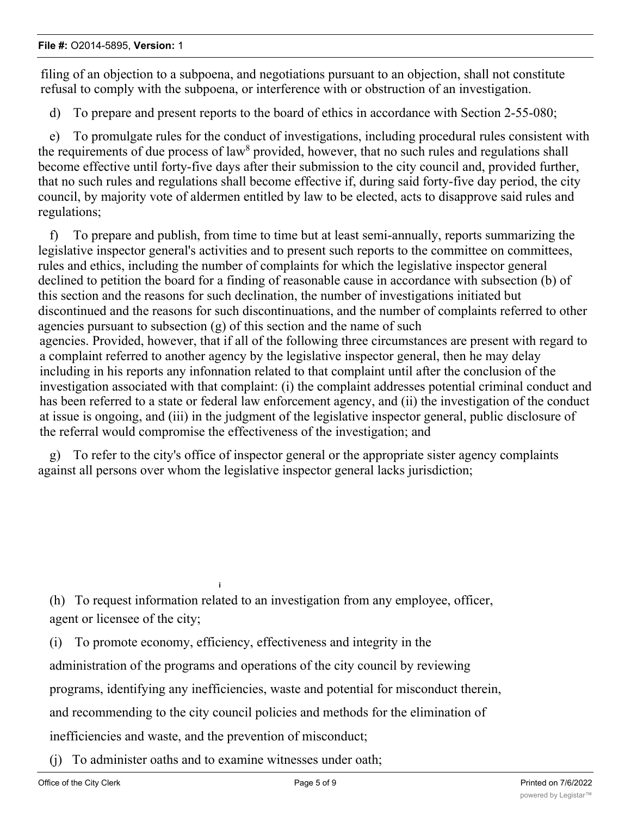filing of an objection to a subpoena, and negotiations pursuant to an objection, shall not constitute refusal to comply with the subpoena, or interference with or obstruction of an investigation.

d) To prepare and present reports to the board of ethics in accordance with Section 2-55-080;

e) To promulgate rules for the conduct of investigations, including procedural rules consistent with the requirements of due process of law<sup>8</sup> provided, however, that no such rules and regulations shall become effective until forty-five days after their submission to the city council and, provided further, that no such rules and regulations shall become effective if, during said forty-five day period, the city council, by majority vote of aldermen entitled by law to be elected, acts to disapprove said rules and regulations;

f) To prepare and publish, from time to time but at least semi-annually, reports summarizing the legislative inspector general's activities and to present such reports to the committee on committees, rules and ethics, including the number of complaints for which the legislative inspector general declined to petition the board for a finding of reasonable cause in accordance with subsection (b) of this section and the reasons for such declination, the number of investigations initiated but discontinued and the reasons for such discontinuations, and the number of complaints referred to other agencies pursuant to subsection (g) of this section and the name of such agencies. Provided, however, that if all of the following three circumstances are present with regard to a complaint referred to another agency by the legislative inspector general, then he may delay including in his reports any infonnation related to that complaint until after the conclusion of the investigation associated with that complaint: (i) the complaint addresses potential criminal conduct and has been referred to a state or federal law enforcement agency, and (ii) the investigation of the conduct at issue is ongoing, and (iii) in the judgment of the legislative inspector general, public disclosure of the referral would compromise the effectiveness of the investigation; and

g) To refer to the city's office of inspector general or the appropriate sister agency complaints against all persons over whom the legislative inspector general lacks jurisdiction;

(h) To request information related to an investigation from any employee, officer, agent or licensee of the city;

(i) To promote economy, efficiency, effectiveness and integrity in the

**i**

administration of the programs and operations of the city council by reviewing

programs, identifying any inefficiencies, waste and potential for misconduct therein,

and recommending to the city council policies and methods for the elimination of

inefficiencies and waste, and the prevention of misconduct;

(j) To administer oaths and to examine witnesses under oath;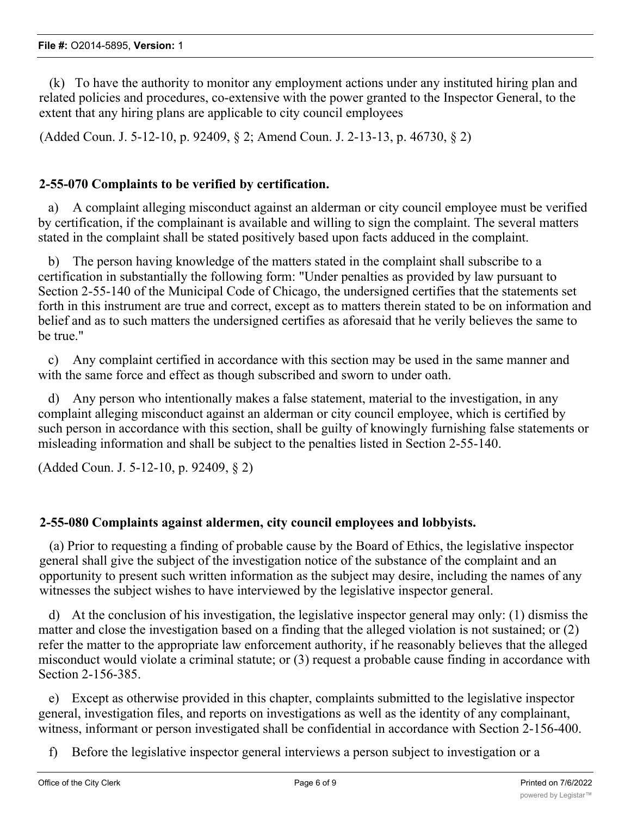(k) To have the authority to monitor any employment actions under any instituted hiring plan and related policies and procedures, co-extensive with the power granted to the Inspector General, to the extent that any hiring plans are applicable to city council employees

(Added Coun. J. 5-12-10, p. 92409, § 2; Amend Coun. J. 2-13-13, p. 46730, § 2)

## **2-55-070 Complaints to be verified by certification.**

a) A complaint alleging misconduct against an alderman or city council employee must be verified by certification, if the complainant is available and willing to sign the complaint. The several matters stated in the complaint shall be stated positively based upon facts adduced in the complaint.

b) The person having knowledge of the matters stated in the complaint shall subscribe to a certification in substantially the following form: "Under penalties as provided by law pursuant to Section 2-55-140 of the Municipal Code of Chicago, the undersigned certifies that the statements set forth in this instrument are true and correct, except as to matters therein stated to be on information and belief and as to such matters the undersigned certifies as aforesaid that he verily believes the same to be true."

c) Any complaint certified in accordance with this section may be used in the same manner and with the same force and effect as though subscribed and sworn to under oath.

d) Any person who intentionally makes a false statement, material to the investigation, in any complaint alleging misconduct against an alderman or city council employee, which is certified by such person in accordance with this section, shall be guilty of knowingly furnishing false statements or misleading information and shall be subject to the penalties listed in Section 2-55-140.

(Added Coun. J. 5-12-10, p. 92409, § 2)

### **2-55-080 Complaints against aldermen, city council employees and lobbyists.**

(a) Prior to requesting a finding of probable cause by the Board of Ethics, the legislative inspector general shall give the subject of the investigation notice of the substance of the complaint and an opportunity to present such written information as the subject may desire, including the names of any witnesses the subject wishes to have interviewed by the legislative inspector general.

d) At the conclusion of his investigation, the legislative inspector general may only: (1) dismiss the matter and close the investigation based on a finding that the alleged violation is not sustained; or (2) refer the matter to the appropriate law enforcement authority, if he reasonably believes that the alleged misconduct would violate a criminal statute; or (3) request a probable cause finding in accordance with Section 2-156-385.

e) Except as otherwise provided in this chapter, complaints submitted to the legislative inspector general, investigation files, and reports on investigations as well as the identity of any complainant, witness, informant or person investigated shall be confidential in accordance with Section 2-156-400.

f) Before the legislative inspector general interviews a person subject to investigation or a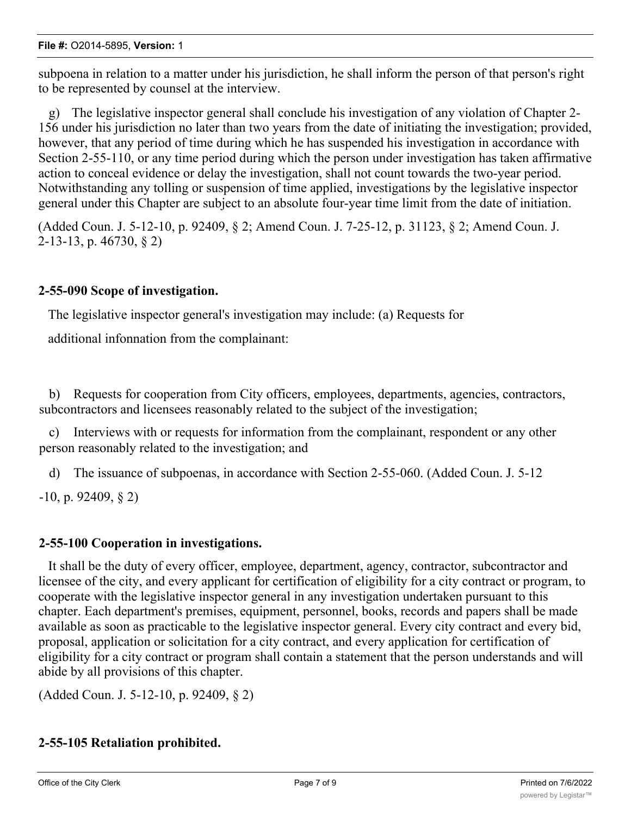subpoena in relation to a matter under his jurisdiction, he shall inform the person of that person's right to be represented by counsel at the interview.

g) The legislative inspector general shall conclude his investigation of any violation of Chapter 2- 156 under his jurisdiction no later than two years from the date of initiating the investigation; provided, however, that any period of time during which he has suspended his investigation in accordance with Section 2-55-110, or any time period during which the person under investigation has taken affirmative action to conceal evidence or delay the investigation, shall not count towards the two-year period. Notwithstanding any tolling or suspension of time applied, investigations by the legislative inspector general under this Chapter are subject to an absolute four-year time limit from the date of initiation.

(Added Coun. J. 5-12-10, p. 92409, § 2; Amend Coun. J. 7-25-12, p. 31123, § 2; Amend Coun. J. 2-13-13, p. 46730, § 2)

## **2-55-090 Scope of investigation.**

The legislative inspector general's investigation may include: (a) Requests for

additional infonnation from the complainant:

b) Requests for cooperation from City officers, employees, departments, agencies, contractors, subcontractors and licensees reasonably related to the subject of the investigation;

c) Interviews with or requests for information from the complainant, respondent or any other person reasonably related to the investigation; and

d) The issuance of subpoenas, in accordance with Section 2-55-060. (Added Coun. J. 5-12

-10, p. 92409, § 2)

### **2-55-100 Cooperation in investigations.**

It shall be the duty of every officer, employee, department, agency, contractor, subcontractor and licensee of the city, and every applicant for certification of eligibility for a city contract or program, to cooperate with the legislative inspector general in any investigation undertaken pursuant to this chapter. Each department's premises, equipment, personnel, books, records and papers shall be made available as soon as practicable to the legislative inspector general. Every city contract and every bid, proposal, application or solicitation for a city contract, and every application for certification of eligibility for a city contract or program shall contain a statement that the person understands and will abide by all provisions of this chapter.

(Added Coun. J. 5-12-10, p. 92409, § 2)

## **2-55-105 Retaliation prohibited.**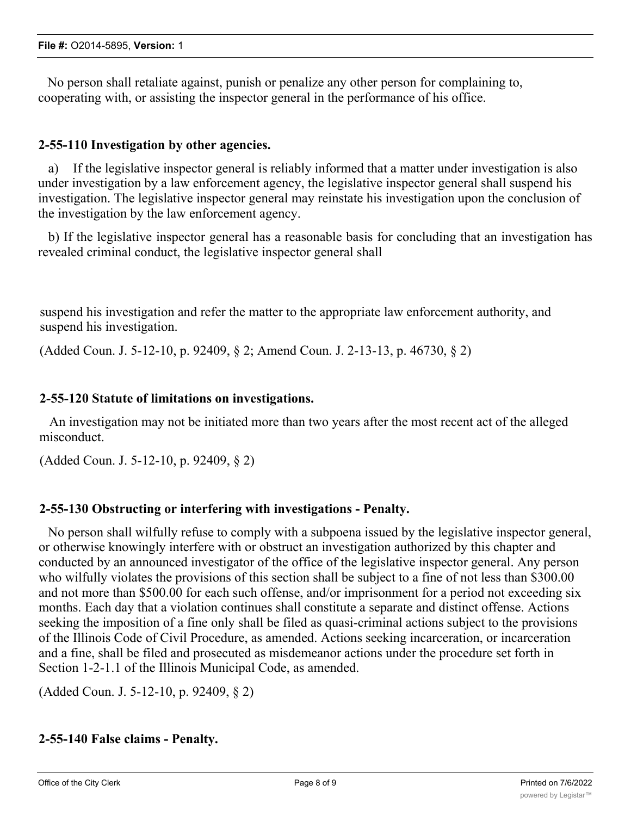No person shall retaliate against, punish or penalize any other person for complaining to, cooperating with, or assisting the inspector general in the performance of his office.

### **2-55-110 Investigation by other agencies.**

a) If the legislative inspector general is reliably informed that a matter under investigation is also under investigation by a law enforcement agency, the legislative inspector general shall suspend his investigation. The legislative inspector general may reinstate his investigation upon the conclusion of the investigation by the law enforcement agency.

b) If the legislative inspector general has a reasonable basis for concluding that an investigation has revealed criminal conduct, the legislative inspector general shall

suspend his investigation and refer the matter to the appropriate law enforcement authority, and suspend his investigation.

(Added Coun. J. 5-12-10, p. 92409, § 2; Amend Coun. J. 2-13-13, p. 46730, § 2)

### **2-55-120 Statute of limitations on investigations.**

An investigation may not be initiated more than two years after the most recent act of the alleged misconduct.

(Added Coun. J. 5-12-10, p. 92409, § 2)

### **2-55-130 Obstructing or interfering with investigations - Penalty.**

No person shall wilfully refuse to comply with a subpoena issued by the legislative inspector general, or otherwise knowingly interfere with or obstruct an investigation authorized by this chapter and conducted by an announced investigator of the office of the legislative inspector general. Any person who wilfully violates the provisions of this section shall be subject to a fine of not less than \$300.00 and not more than \$500.00 for each such offense, and/or imprisonment for a period not exceeding six months. Each day that a violation continues shall constitute a separate and distinct offense. Actions seeking the imposition of a fine only shall be filed as quasi-criminal actions subject to the provisions of the Illinois Code of Civil Procedure, as amended. Actions seeking incarceration, or incarceration and a fine, shall be filed and prosecuted as misdemeanor actions under the procedure set forth in Section 1-2-1.1 of the Illinois Municipal Code, as amended.

(Added Coun. J. 5-12-10, p. 92409, § 2)

### **2-55-140 False claims - Penalty.**